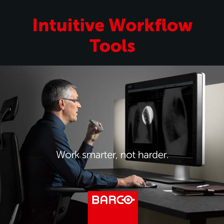# Intuitive Workflow Tools

### Work smarter, not harder.

# **BARCO**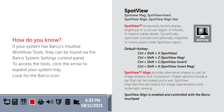### How do you know?

আ⊞ើ∎⊕юV ≧ ►

If your system has Barco's Intuitive Workflow Tools, they can be found via the Barco System Settings control panel. To access the tools, click the arrow to expand your system tray. Look for the Barco icon.

08/11/2021

#### SpotView Spotview Mag, SpotView Invert, SpotView Align, SpotView Align Vee

SpotView™ temporarily boosts display brightness in a circular region of interest, to inspect subtle details. Dynamically optimizes contrast and optionally magnifies or inverts pixels inside SpotView region.



#### *Default Hotkey:*

*Ctrl + Shift + X (SpotView) Ctrl + Shift + Z (SpotView Mag) Ctrl + Shift + S (SpotView Invert) Ctrl + Shift + A (SpotView Invert Mag)*

SpotView™ Align provides alternative shapes to use for image analysis and comparison. Shape options include a bar that can be rotated and a vee. SpotView Align Bar/Vee are helpful for image segmentation and systematic viewing.

#### *SpotView Align is enabled and controlled with the Barco touchpad* 6:33 PM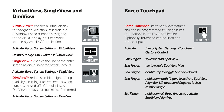# VirtualView, SingleView and **DimView**

VirtualView™ enables a virtual display for navigation, dictation, research, etc. A Windows head number is assigned to the virtual display, so it can work seamlessly with PACS applications.

#### *Activate: Barco System Settings > VirtualView*

#### *Default Hotkey: Ctrl + Shift + V (VirtualView)*

SingleView™ enables the use of the entire screen as one display for flexible layouts.

#### *Activate: Barco System Settings > SingleView*

DimView™ reduces ambient light during reads by dimming inactive screens when cursor is moved off of the display. All DimView displays can be linked, if preferred.

#### *Activate: Barco System Settings > DimView*







# Barco Touchpad

**Barco Touchpad** starts SpotView features and can be programmed to link gestures to functions in the PACS application. Optionally, touchpad can be used as a mouse input.



| Activate:          | <b>Barco System Settings &gt; Touchpad</b><br><b>Gesture Control</b>                                          |
|--------------------|---------------------------------------------------------------------------------------------------------------|
| <b>One Finger:</b> | touch to start SpotView                                                                                       |
| 2nd Finger:        | tap to toggle SpotView Mag                                                                                    |
| 2nd Finger:        | double-tap to toggle SpotView Invert                                                                          |
| 2nd Finger:        | hold down both fingers to activate SpotView<br>Align Bar. Lift up second finger to lock in<br>rotation angle. |
| <b>3rd Finger:</b> | hold down all three fingers to activate<br>SpotView Align Vee                                                 |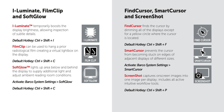# I-Luminate, FilmClip and SoftGlow

I-Luminate™ temporarily boosts the display brightness, allowing inspection of subtle details.

#### *Default Hotkey: Ctrl + Shift + I*

**FilmClip** can be used to hang a prior radiological film creating a virtual lightbox on the display.

#### *Default Hotkey: Ctrl + Shift + C*

SoftGlow™ lights up area below and behind the display to supply additional light and adjust ambient reading room conditions.

*Activate: Barco System Settings > SoftGlow*

*Default Hotkey: Ctrl + Shift + C*







# FindCursor, SmartCursor and ScreenShot

FindCursor finds the cursor by dimming all of the displays except for a yellow circle where the cursor is located.

#### *Default Hotkey: Ctrl + Shift + F*

**SmartCursor** prevents the cursor from becoming stuck on edges of adjacent displays of different sizes.

#### *Activate: Barco System Settings > SmartCursor*

**ScreenShot** captures onscreen images into one image per display; includes all active intuitive workflow tools.

*Default Hotkey: Ctrl + Shift + P*





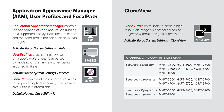### Application Appearance Manager (AAM), User Profiles and FocalPath

**Application Appearance Manager controls** the appearance of each application running on a supported display. Both the luminance and the color profile (on select displays) can be adjusted.

#### *Activate: Barco System Settings > AAM*

User Profiles saves settings bwased on a user's preferences. Can be set by modality or user and switched using assigned hotkeys.

#### *Activate: Barco System Settings > Profiles*

**FocalPath** dims and masks no-critical areas for improved optical accuracy. The viewing area's size is customizable.

#### *Default Hotkey: Ctrl + Shift + K*







### **CloneView**

**CloneView** allows users to clone a highresolution image on another screen or projector without losing pixel precision.



#### *Activate: Barco System Settings > CloneView*

#### GRAPHICS CARD COMPATIBILITY CHART

| 1 source > 1 projector  | MXRT-2600, MXRT-5600, MXRT-7600,<br>MXRT-2700, MXRT-4700, MXRT-6700,<br><b>MXRT-8700</b> |
|-------------------------|------------------------------------------------------------------------------------------|
| 2 sources > 1 projector | MXRT-5600, MXRT-7600, MXRT-2700,<br>MXRT-4700, MXRT-6700, MXRT-8700                      |
| 3 sources > 1 projector | 2 sources > 2 projectors MXRT-5600, MXRT-7600, MXRT-6700,<br><b>MXRT-8700</b>            |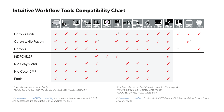### Intuitive Workflow Tools Compatibility Chart

|                    | <b>PROFILES</b> | ЮI<br><b>SCREENSHOT</b> | i j<br>AAM   | P<br><b>VIRTUALVIEW</b> | L.<br><b>SPOTVIEW</b> | $\bullet$<br><b>FOCALPATH</b> | 的<br><b>TOUCHPAD</b> | ■M<br><b>DIMVIEW</b> | Þ<br>四方<br>SMARTCURSOR | $\mathcal{D}$<br><b>FIND CURSOR</b> | ←1→ <br>SINGLEVIEW | 己名<br>- -<br><b>CLONEV EW</b> | <u>N2</u><br><b>FILM CLIP</b> | <b>SOFTGLOW</b>           | <b>I-LUM NATE</b> |
|--------------------|-----------------|-------------------------|--------------|-------------------------|-----------------------|-------------------------------|----------------------|----------------------|------------------------|-------------------------------------|--------------------|-------------------------------|-------------------------------|---------------------------|-------------------|
| Coronis Uniti      | $\checkmark$    | $\checkmark$            | $\checkmark$ | $\checkmark$            | $\checkmark$          |                               | $\sqrt{3}$           | $\checkmark$         | $\checkmark$           | $\checkmark$                        | $\checkmark$       | $\checkmark$                  | $\checkmark$                  | $\checkmark$              | $\checkmark$      |
| Coronis/Nio Fusion | $\checkmark$    | $\checkmark$            | $\checkmark$ | $\checkmark$            | $\sqrt{2}$            |                               | $\sqrt{3}$           | $\checkmark$         | $\checkmark$           | $\checkmark$                        | $\checkmark$       | $\checkmark$                  |                               | $\checkmark$ <sup>5</sup> |                   |
| Coronis            | $\checkmark$    | $\checkmark$            | $\sqrt{1}$   | $\checkmark$            | $\checkmark$          |                               |                      | $\checkmark$         | $\checkmark$           | $\checkmark$                        |                    | $\checkmark$                  | (4)                           |                           | $\checkmark$      |
| <b>MDPC-8127</b>   |                 |                         | $\checkmark$ |                         | $\checkmark$          | $\checkmark$                  | $\checkmark$         |                      |                        |                                     |                    | $\checkmark$                  |                               |                           |                   |
| Nio Gray/Color     | $\checkmark$    | $\checkmark$            |              | $\checkmark$            | $\checkmark$          |                               |                      | $\checkmark$         | $\cdot$                | $\cdot$                             |                    | $\checkmark$                  |                               |                           |                   |
| Nio Color 5MP      | $\checkmark$    | $\checkmark$            | $\checkmark$ | $\checkmark$            | $\checkmark$          |                               |                      | $\checkmark$         | $\checkmark$           | $\checkmark$                        |                    | $\checkmark$                  |                               |                           |                   |
| Eonis              | $\checkmark$    | $\checkmark$            |              | $\checkmark$            |                       |                               |                      | ✓                    | $\checkmark$           | $\checkmark$                        |                    | $\checkmark$                  |                               |                           |                   |

*1 Supports luminance control only*

*2 MDCC-4230/4330/4430, MDCC-6330/6430/6530, MDNC-12130 only*

*Visit www.barco.com/IWT-compatibility for detailed information about which IWT and accessories are compatible with your Barco monitor.*

*3 Touchpad also allows SpotView Align and SpotView AlignVee 4 Filmclip available on Mammo/Tomo model 5 MDCC-6530/4430, MDNC-12130 only*

*Visit www.barco.com/mxrt for the latest MXRT driver and Intuitive Workflow Tools software for your system*